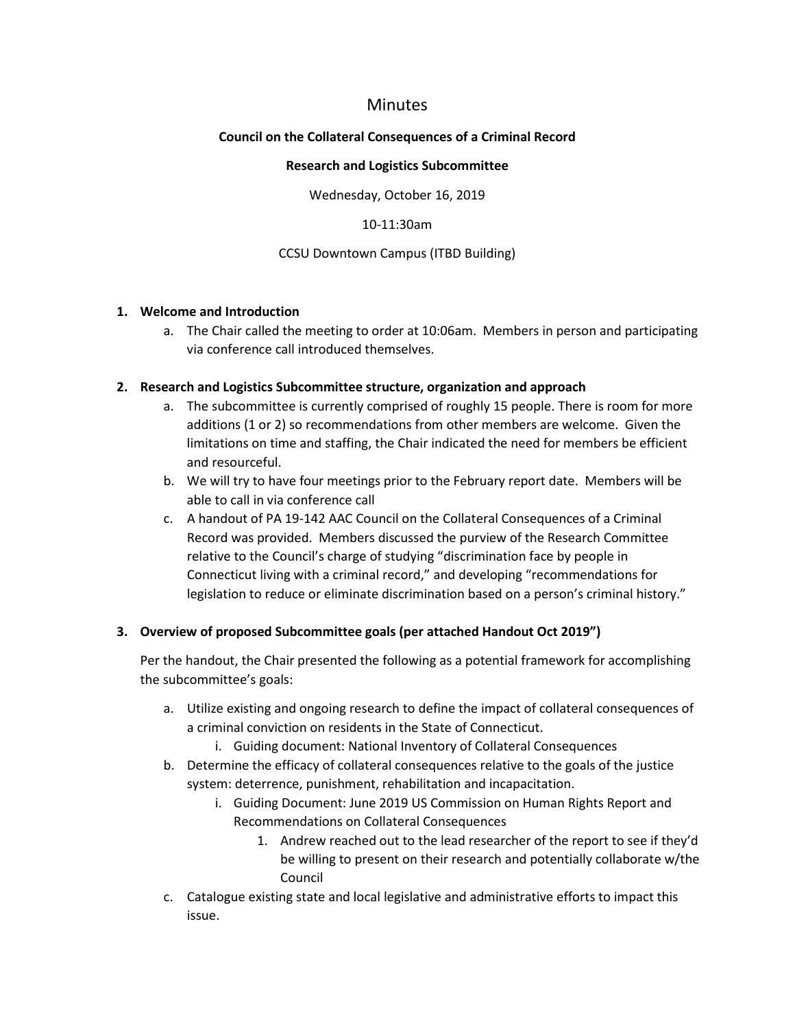# Minutes

### **Council on the Collateral Consequences of a Criminal Record**

#### **Research and Logistics Subcommittee**

Wednesday, October 16, 2019

#### 10-11:30am

#### CCSU Downtown Campus (ITBD Building)

#### **1. Welcome and Introduction**

a. The Chair called the meeting to order at 10:06am. Members in person and participating via conference call introduced themselves.

### **2. Research and Logistics Subcommittee structure, organization and approach**

- a. The subcommittee is currently comprised of roughly 15 people. There is room for more additions (1 or 2) so recommendations from other members are welcome. Given the limitations on time and staffing, the Chair indicated the need for members be efficient and resourceful.
- b. We will try to have four meetings prior to the February report date. Members will be able to call in via conference call
- c. A handout of PA 19-142 AAC Council on the Collateral Consequences of a Criminal Record was provided. Members discussed the purview of the Research Committee relative to the Council's charge of studying "discrimination face by people in Connecticut living with a criminal record," and developing "recommendations for legislation to reduce or eliminate discrimination based on a person's criminal history."

## **3. Overview of proposed Subcommittee goals (per attached Handout Oct 2019")**

Per the handout, the Chair presented the following as a potential framework for accomplishing the subcommittee's goals:

- a. Utilize existing and ongoing research to define the impact of collateral consequences of a criminal conviction on residents in the State of Connecticut.
	- i. Guiding document: National Inventory of Collateral Consequences
- b. Determine the efficacy of collateral consequences relative to the goals of the justice system: deterrence, punishment, rehabilitation and incapacitation.
	- i. Guiding Document: June 2019 US Commission on Human Rights Report and Recommendations on Collateral Consequences
		- 1. Andrew reached out to the lead researcher of the report to see if they'd be willing to present on their research and potentially collaborate w/the Council
- c. Catalogue existing state and local legislative and administrative efforts to impact this issue.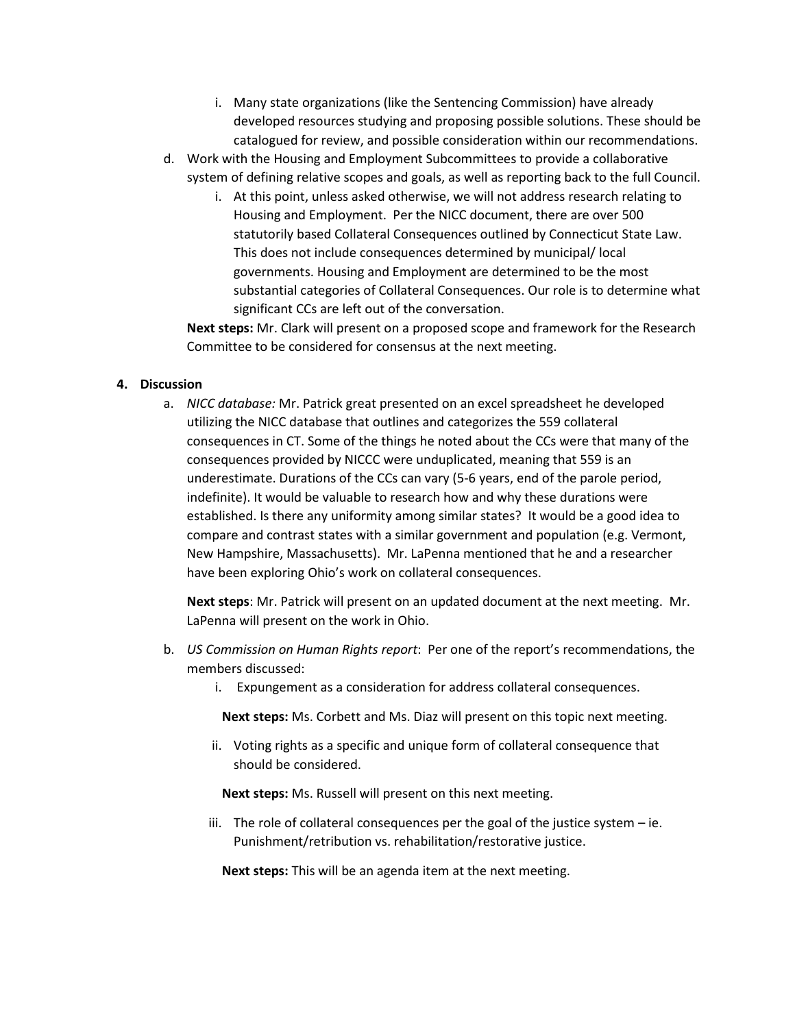- i. Many state organizations (like the Sentencing Commission) have already developed resources studying and proposing possible solutions. These should be catalogued for review, and possible consideration within our recommendations.
- d. Work with the Housing and Employment Subcommittees to provide a collaborative system of defining relative scopes and goals, as well as reporting back to the full Council.
	- i. At this point, unless asked otherwise, we will not address research relating to Housing and Employment. Per the NICC document, there are over 500 statutorily based Collateral Consequences outlined by Connecticut State Law. This does not include consequences determined by municipal/ local governments. Housing and Employment are determined to be the most substantial categories of Collateral Consequences. Our role is to determine what significant CCs are left out of the conversation.

**Next steps:** Mr. Clark will present on a proposed scope and framework for the Research Committee to be considered for consensus at the next meeting.

### **4. Discussion**

a. *NICC database:* Mr. Patrick great presented on an excel spreadsheet he developed utilizing the NICC database that outlines and categorizes the 559 collateral consequences in CT. Some of the things he noted about the CCs were that many of the consequences provided by NICCC were unduplicated, meaning that 559 is an underestimate. Durations of the CCs can vary (5-6 years, end of the parole period, indefinite). It would be valuable to research how and why these durations were established. Is there any uniformity among similar states? It would be a good idea to compare and contrast states with a similar government and population (e.g. Vermont, New Hampshire, Massachusetts). Mr. LaPenna mentioned that he and a researcher have been exploring Ohio's work on collateral consequences.

**Next steps**: Mr. Patrick will present on an updated document at the next meeting. Mr. LaPenna will present on the work in Ohio.

- b. *US Commission on Human Rights report*: Per one of the report's recommendations, the members discussed:
	- i. Expungement as a consideration for address collateral consequences.

**Next steps:** Ms. Corbett and Ms. Diaz will present on this topic next meeting.

ii. Voting rights as a specific and unique form of collateral consequence that should be considered.

**Next steps:** Ms. Russell will present on this next meeting.

iii. The role of collateral consequences per the goal of the justice system – ie. Punishment/retribution vs. rehabilitation/restorative justice.

**Next steps:** This will be an agenda item at the next meeting.